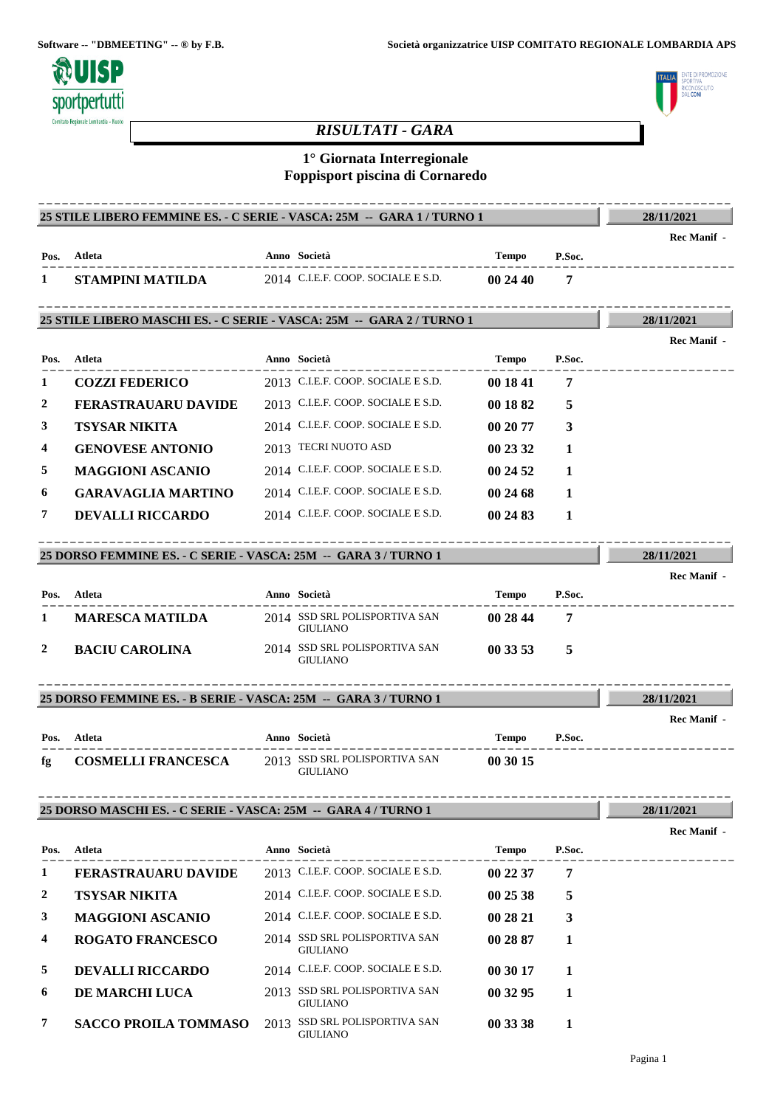

# ENTE DI PROMOZIONE<br>SPORTIVA .<br>חוודה RICONOSC<br>DAL **CONI**

# *RISULTATI - GARA*

# **1° Giornata Interregionale Foppisport piscina di Cornaredo**

|              | 25 STILE LIBERO FEMMINE ES. - C SERIE - VASCA: 25M --  GARA 1 / TURNO 1 |                                                  |              |        | 28/11/2021         |
|--------------|-------------------------------------------------------------------------|--------------------------------------------------|--------------|--------|--------------------|
|              |                                                                         |                                                  |              |        | <b>Rec Manif</b> - |
| Pos.         | Atleta                                                                  | Anno Società                                     | Tempo        | P.Soc. |                    |
| 1            | STAMPINI MATILDA                                                        | 2014 C.I.E.F. COOP. SOCIALE E S.D.               | 002440       | 7      |                    |
|              | 25 STILE LIBERO MASCHI ES. - C SERIE - VASCA: 25M -- GARA 2 / TURNO 1   |                                                  |              |        | 28/11/2021         |
|              |                                                                         |                                                  |              |        | <b>Rec Manif</b> - |
| Pos.         | Atleta                                                                  | Anno Società                                     | Tempo        | P.Soc. | --------           |
| 1            | <b>COZZI FEDERICO</b>                                                   | 2013 C.I.E.F. COOP. SOCIALE E S.D.               | 00 18 41     | 7      |                    |
| 2            | <b>FERASTRAUARU DAVIDE</b>                                              | 2013 C.I.E.F. COOP. SOCIALE E S.D.               | 00 18 82     | 5      |                    |
| 3            | <b>TSYSAR NIKITA</b>                                                    | 2014 C.I.E.F. COOP. SOCIALE E S.D.               | 00 20 77     | 3      |                    |
| 4            | <b>GENOVESE ANTONIO</b>                                                 | 2013 TECRI NUOTO ASD                             | 00 23 32     | 1      |                    |
| 5            | <b>MAGGIONI ASCANIO</b>                                                 | 2014 C.I.E.F. COOP. SOCIALE E S.D.               | 00 24 52     | 1      |                    |
| 6            | <b>GARAVAGLIA MARTINO</b>                                               | 2014 C.I.E.F. COOP. SOCIALE E S.D.               | 00 24 68     | 1      |                    |
| 7            | <b>DEVALLI RICCARDO</b>                                                 | 2014 C.I.E.F. COOP. SOCIALE E S.D.               | 00 24 83     | 1      |                    |
|              | 25 DORSO FEMMINE ES. - C SERIE - VASCA: 25M -- GARA 3 / TURNO 1         |                                                  |              |        | 28/11/2021         |
|              |                                                                         |                                                  |              |        | <b>Rec Manif</b> - |
| Pos.         | Atleta                                                                  | Anno Società                                     | Tempo        | P.Soc. |                    |
| 1            | <b>MARESCA MATILDA</b>                                                  | 2014 SSD SRL POLISPORTIVA SAN<br><b>GIULIANO</b> | 00 28 44     | 7      |                    |
| 2            | <b>BACIU CAROLINA</b>                                                   | 2014 SSD SRL POLISPORTIVA SAN<br><b>GIULIANO</b> | 00 33 53     | 5      |                    |
|              | 25 DORSO FEMMINE ES. - B SERIE - VASCA: 25M -- GARA 3 / TURNO 1         |                                                  |              |        | 28/11/2021         |
|              |                                                                         |                                                  |              |        | <b>Rec Manif -</b> |
| Pos.         | Atleta                                                                  | Anno Società                                     | Tempo        | P.Soc. |                    |
| fg.          | <b>COSMELLI FRANCESCA</b>                                               | 2013 SSD SRL POLISPORTIVA SAN<br><b>GIULIANO</b> | 00 30 15     |        |                    |
|              | 25 DORSO MASCHI ES. - C SERIE - VASCA: 25M -- GARA 4 / TURNO 1          |                                                  |              |        | 28/11/2021         |
|              |                                                                         |                                                  |              |        | Rec Manif -        |
| Pos.         | Atleta                                                                  | Anno Società                                     | <b>Tempo</b> | P.Soc. |                    |
| 1            | <b>FERASTRAUARU DAVIDE</b>                                              | 2013 C.I.E.F. COOP. SOCIALE E S.D.               | 00 22 37     | 7      |                    |
| 2            | <b>TSYSAR NIKITA</b>                                                    | 2014 C.I.E.F. COOP. SOCIALE E S.D.               | 00 25 38     | 5      |                    |
| $\mathbf{3}$ | <b>MAGGIONI ASCANIO</b>                                                 | 2014 C.I.E.F. COOP. SOCIALE E S.D.               | 00 28 21     | 3      |                    |
| 4            | <b>ROGATO FRANCESCO</b>                                                 | 2014 SSD SRL POLISPORTIVA SAN<br><b>GIULIANO</b> | 00 28 87     | 1      |                    |
| 5            | <b>DEVALLI RICCARDO</b>                                                 | 2014 C.I.E.F. COOP. SOCIALE E S.D.               | 00 30 17     | 1      |                    |
| 6            | DE MARCHI LUCA                                                          | 2013 SSD SRL POLISPORTIVA SAN<br><b>GIULIANO</b> | 00 32 95     | 1      |                    |

**7 SACCO PROILA TOMMASO** 2013 SSD SRL POLISPORTIVA SAN **00 33 38 1** GIULIANO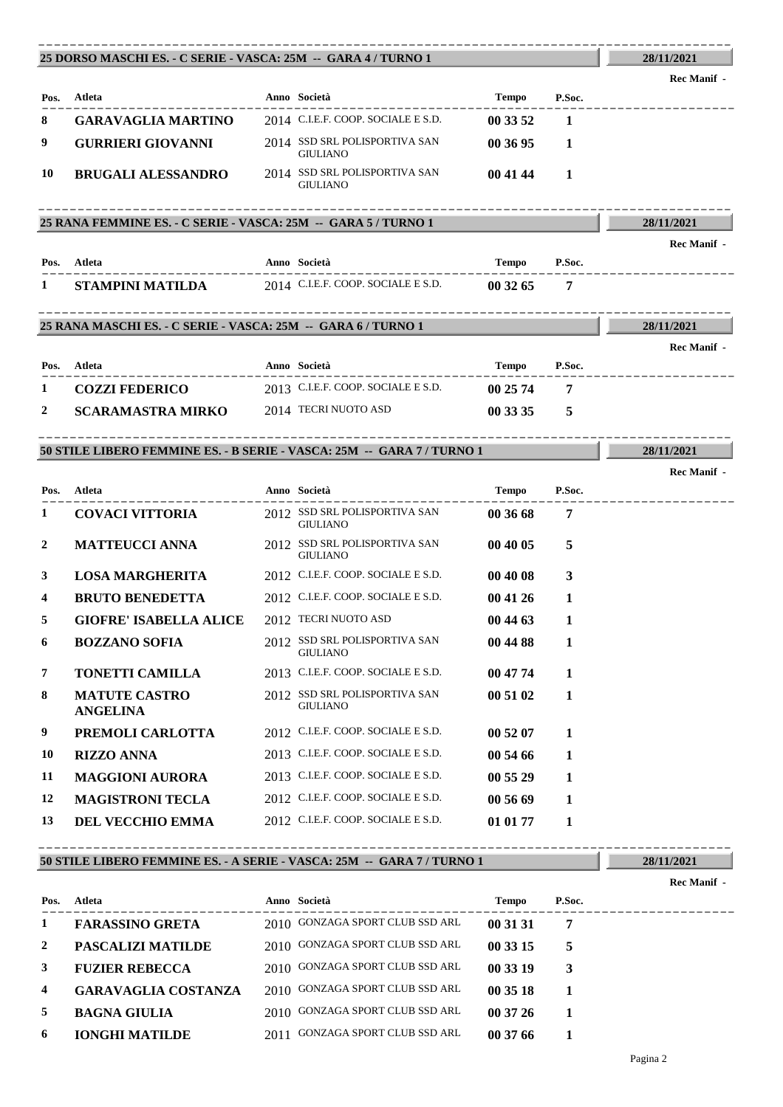|                                                         | 25 DORSO MASCHI ES. - C SERIE - VASCA: 25M -- GARA 4 / TURNO 1         |                                                                  |                   |                | 28/11/2021         |
|---------------------------------------------------------|------------------------------------------------------------------------|------------------------------------------------------------------|-------------------|----------------|--------------------|
|                                                         |                                                                        |                                                                  |                   |                | Rec Manif -        |
|                                                         | Pos. Atleta                                                            | Anno Società                                                     | Tempo             | P.Soc.         |                    |
| 8                                                       | <b>GARAVAGLIA MARTINO</b>                                              | 2014 C.I.E.F. COOP. SOCIALE E S.D.                               | 00 33 52          | $\mathbf{1}$   |                    |
| 9                                                       | <b>GURRIERI GIOVANNI</b>                                               | 2014 SSD SRL POLISPORTIVA SAN<br><b>GIULIANO</b>                 | 003695            | 1              |                    |
| 10                                                      | <b>BRUGALI ALESSANDRO</b>                                              | 2014 SSD SRL POLISPORTIVA SAN<br><b>GIULIANO</b>                 | 00 41 44          | 1              |                    |
|                                                         | 25 RANA FEMMINE ES. - C SERIE - VASCA: 25M -- GARA 5 / TURNO 1         |                                                                  |                   |                | 28/11/2021         |
|                                                         |                                                                        |                                                                  |                   |                | <b>Rec Manif -</b> |
|                                                         | Pos. Atleta                                                            | Anno Società                                                     | Tempo             | P.Soc.         |                    |
| 1                                                       | STAMPINI MATILDA                                                       | $2014$ C.I.E.F. COOP. SOCIALE E S.D.                             | 00 32 65          | 7              |                    |
|                                                         | 25 RANA MASCHI ES. - C SERIE - VASCA: 25M - GARA 6 / TURNO 1           |                                                                  |                   |                | 28/11/2021         |
|                                                         |                                                                        |                                                                  |                   |                | Rec Manif -        |
|                                                         | Pos. Atleta                                                            | Anno Società                                                     | Tempo             | P.Soc.         |                    |
| 1                                                       | <b>COZZI FEDERICO</b>                                                  | 2013 C.I.E.F. COOP. SOCIALE E S.D.                               | 00 25 74          | $\overline{7}$ |                    |
| 2                                                       | <b>SCARAMASTRA MIRKO</b>                                               | 2014 TECRI NUOTO ASD                                             | 00 33 35          | 5              |                    |
|                                                         |                                                                        |                                                                  |                   |                |                    |
|                                                         | 50 STILE LIBERO FEMMINE ES. - B SERIE - VASCA: 25M -- GARA 7 / TURNO 1 |                                                                  |                   |                | 28/11/2021         |
|                                                         | Atleta                                                                 |                                                                  |                   |                |                    |
|                                                         | <b>COVACI VITTORIA</b>                                                 | Anno Società<br>2012 SSD SRL POLISPORTIVA SAN<br><b>GIULIANO</b> | Tempo<br>00 36 68 | P.Soc.<br>7    |                    |
|                                                         | <b>MATTEUCCI ANNA</b>                                                  | 2012 SSD SRL POLISPORTIVA SAN<br><b>GIULIANO</b>                 | 00 40 05          | 5              | <b>Rec Manif</b> - |
|                                                         | <b>LOSA MARGHERITA</b>                                                 | 2012 C.I.E.F. COOP. SOCIALE E S.D.                               | 00 40 08          | 3              |                    |
|                                                         | <b>BRUTO BENEDETTA</b>                                                 | 2012 C.I.E.F. COOP. SOCIALE E S.D.                               | 00 41 26          | 1              |                    |
|                                                         | <b>GIOFRE' ISABELLA ALICE</b>                                          | 2012 TECRI NUOTO ASD                                             | 00 44 63          | 1              |                    |
|                                                         | <b>BOZZANO SOFIA</b>                                                   | 2012 SSD SRL POLISPORTIVA SAN<br><b>GIULIANO</b>                 | 00 44 88          | $\mathbf{1}$   |                    |
|                                                         | <b>TONETTI CAMILLA</b>                                                 | 2013 C.I.E.F. COOP. SOCIALE E S.D.                               | 00 47 74          | 1              |                    |
|                                                         | <b>MATUTE CASTRO</b><br><b>ANGELINA</b>                                | 2012 SSD SRL POLISPORTIVA SAN<br><b>GIULIANO</b>                 | 00 51 02          | 1              |                    |
|                                                         | PREMOLI CARLOTTA                                                       | 2012 C.I.E.F. COOP. SOCIALE E S.D.                               | 00 52 07          | 1              |                    |
| Pos.<br>1<br>2<br>3<br>4<br>5<br>6<br>7<br>8<br>9<br>10 | <b>RIZZO ANNA</b>                                                      | 2013 C.I.E.F. COOP. SOCIALE E S.D.                               | 00 54 66          | 1              |                    |
| 11                                                      | <b>MAGGIONI AURORA</b>                                                 | 2013 C.I.E.F. COOP. SOCIALE E S.D.                               | 00 55 29          | 1              |                    |
| 12                                                      | <b>MAGISTRONI TECLA</b>                                                | 2012 C.I.E.F. COOP. SOCIALE E S.D.                               | 00 56 69          | 1              |                    |

----------------------------------------------------------------------------------------

## **50 STILE LIBERO FEMMINE ES. - A SERIE - VASCA: 25M -- GARA 7 / TURNO 1**

---------------------------------------------------------------------------------------- **Atleta Anno Società Tempo P.Soc. Pos. Rec Manif - 1 FARASSINO GRETA** 2010 GONZAGA SPORT CLUB SSD ARL **00 31 31 7 2 PASCALIZI MATILDE** 2010 GONZAGA SPORT CLUB SSD ARL **00 33 15 5 3 FUZIER REBECCA** 2010 GONZAGA SPORT CLUB SSD ARL **00 33 19 3 4 GARAVAGLIA COSTANZA** 2010 GONZAGA SPORT CLUB SSD ARL **00 35 18 1 5 BAGNA GIULIA** 2010 GONZAGA SPORT CLUB SSD ARL **00 37 26 1 6 IONGHI MATILDE** 2011 GONZAGA SPORT CLUB SSD ARL **00 37 66 1**

**28/11/2021**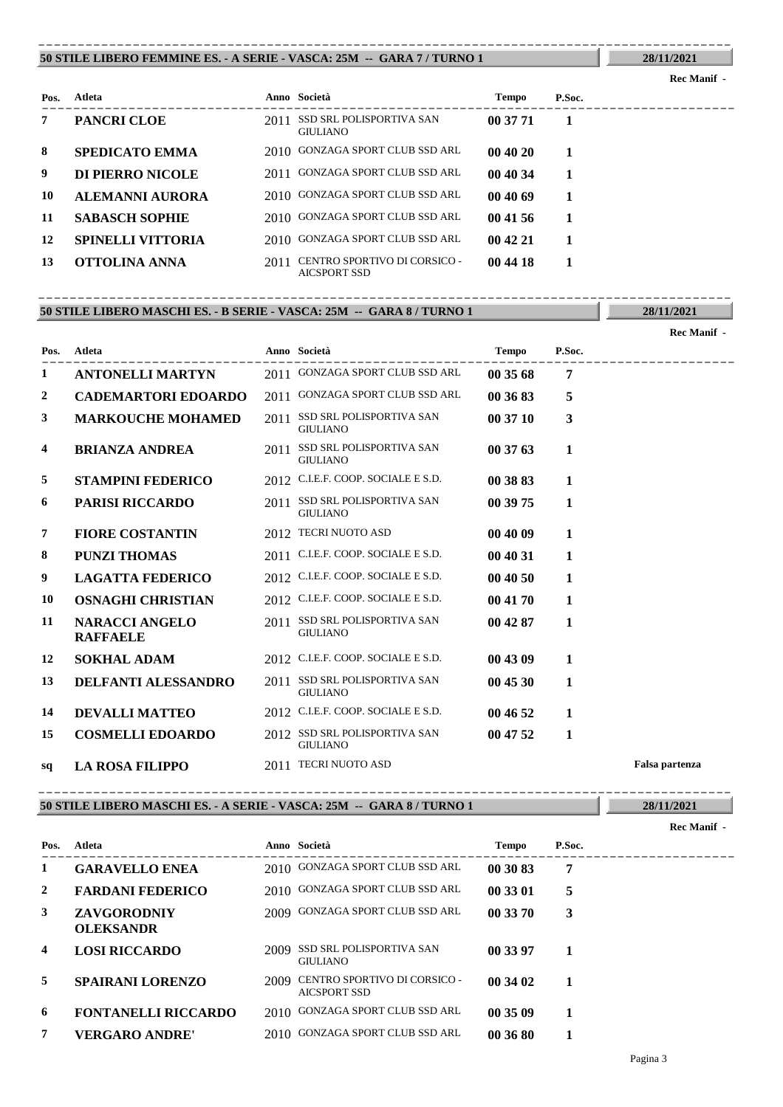#### **50 STILE LIBERO FEMMINE ES. - A SERIE - VASCA: 25M -- GARA 7 / TURNO 1** ----------------------------------------------------------------------------------------

## **Rec Manif -**

**28/11/2021**

**28/11/2021**

| Pos. | Atleta                   |      | Anno Società                                        | <b>Tempo</b> | P.Soc. |  |
|------|--------------------------|------|-----------------------------------------------------|--------------|--------|--|
| 7    | <b>PANCRI CLOE</b>       | 2011 | SSD SRL POLISPORTIVA SAN<br>GIULIANO                | 00 37 71     |        |  |
| 8    | <b>SPEDICATO EMMA</b>    |      | 2010 GONZAGA SPORT CLUB SSD ARL                     | 004020       |        |  |
| 9    | DI PIERRO NICOLE         |      | 2011 GONZAGA SPORT CLUB SSD ARL                     | 00 40 34     |        |  |
| 10   | <b>ALEMANNI AURORA</b>   |      | 2010 GONZAGA SPORT CLUB SSD ARL                     | 004069       |        |  |
| 11   | <b>SABASCH SOPHIE</b>    |      | 2010 GONZAGA SPORT CLUB SSD ARL                     | 00 41 56     |        |  |
| 12   | <b>SPINELLI VITTORIA</b> |      | 2010 GONZAGA SPORT CLUB SSD ARL                     | 004221       |        |  |
| 13   | <b>OTTOLINA ANNA</b>     | 2011 | CENTRO SPORTIVO DI CORSICO -<br><b>AICSPORT SSD</b> | 00 44 18     |        |  |

#### **50 STILE LIBERO MASCHI ES. - B SERIE - VASCA: 25M -- GARA 8 / TURNO 1** ----------------------------------------------------------------------------------------

---------------------------------------------------------------------------------------- **Atleta Anno Società Tempo P.Soc. Pos. Rec Manif - 1 ANTONELLI MARTYN** 2011 GONZAGA SPORT CLUB SSD ARL **00 35 68 7 2 CADEMARTORI EDOARDO** 2011 GONZAGA SPORT CLUB SSD ARL **00 36 83 5** 2011 SSD SRL POLISPORTIVA SAN **GIULIANO 3 MARKOUCHE MOHAMED** 2011 SSD SRL POLISPORTIVA SAN 00 37 10 3 **4 BRIANZA ANDREA** 2011 **SSD SRL POLISPORTIVA SAN 00 37 63 1** GIULIANO **5 STAMPINI FEDERICO** 2012 C.I.E.F. COOP. SOCIALE E S.D. **00 38 83 1** SSD SRL POLISPORTIVA SAN **6 PARISI RICCARDO** 2011 **00 39 75 1** GIULIANO **7 FIORE COSTANTIN** 2012 TECRI NUOTO ASD **00 40 09 1 8 PUNZI THOMAS** 2011 C.I.E.F. COOP. SOCIALE E S.D. **00 40 31 1 9 LAGATTA FEDERICO** 2012 C.I.E.F. COOP. SOCIALE E S.D. **00 40 50 1 10 OSNAGHI CHRISTIAN** 2012 C.I.E.F. COOP. SOCIALE E S.D. **00 41 70 1** 11 **NARACCI ANGELO** 2011 SSD SRL POLISPORTIVA SAN 00 42 87 1 GIULIANO **NARACCI ANGELO RAFFAELE 12 SOKHAL ADAM** 2012 C.I.E.F. COOP. SOCIALE E S.D. **00 43 09 1 13 DELFANTI ALESSANDRO** 2011 SSD SRL POLISPORTIVA SAN **00 45 30 1** GIULIANO **14 DEVALLI MATTEO** 2012 C.I.E.F. COOP. SOCIALE E S.D. **00 46 52 1 15 COSMELLI EDOARDO** 2012 SSD SRL POLISPORTIVA SAN **00 47 52 1** GIULIANO **sq LA ROSA FILIPPO** 2011 TECRI NUOTO ASD **Falsa partenza**

#### **50 STILE LIBERO MASCHI ES. - A SERIE - VASCA: 25M -- GARA 8 / TURNO 1**

|                |                                        |      |                                                     |              |        | Rec Manif - |
|----------------|----------------------------------------|------|-----------------------------------------------------|--------------|--------|-------------|
| Pos.           | Atleta                                 |      | Anno Società                                        | <b>Tempo</b> | P.Soc. |             |
| 1              | <b>GARAVELLO ENEA</b>                  |      | 2010 GONZAGA SPORT CLUB SSD ARL                     | 00 30 83     | 7      |             |
| $\overline{2}$ | <b>FARDANI FEDERICO</b>                |      | 2010 GONZAGA SPORT CLUB SSD ARL                     | 00 33 01     | 5      |             |
| 3              | <b>ZAVGORODNIY</b><br><b>OLEKSANDR</b> |      | 2009 GONZAGA SPORT CLUB SSD ARL                     | 00 33 70     | 3      |             |
| $\overline{4}$ | <b>LOSI RICCARDO</b>                   | 2009 | SSD SRL POLISPORTIVA SAN<br><b>GIULIANO</b>         | 00 33 97     |        |             |
| 5              | <b>SPAIRANI LORENZO</b>                | 2009 | CENTRO SPORTIVO DI CORSICO -<br><b>AICSPORT SSD</b> | 00 34 02     | 1      |             |
| 6              | <b>FONTANELLI RICCARDO</b>             |      | 2010 GONZAGA SPORT CLUB SSD ARL                     | 00 35 09     |        |             |
| 7              | <b>VERGARO ANDRE'</b>                  |      | 2010 GONZAGA SPORT CLUB SSD ARL                     | 00 36 80     |        |             |

----------------------------------------------------------------------------------------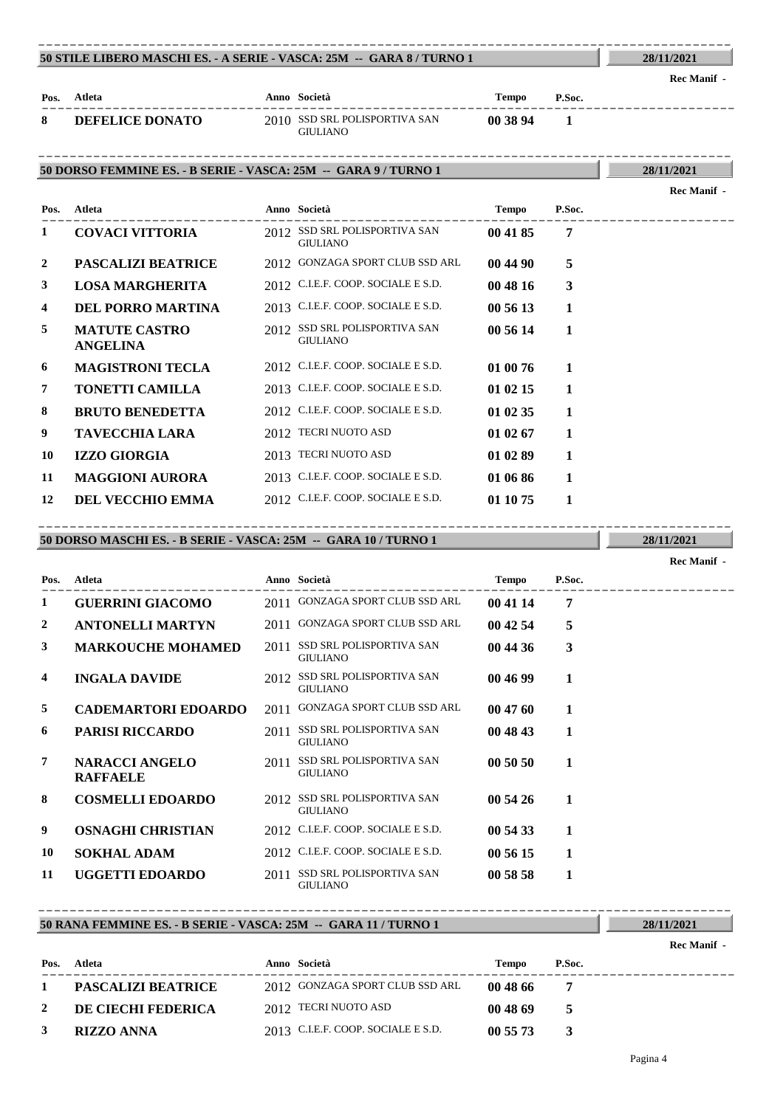#### **50 STILE LIBERO MASCHI ES. - A SERIE - VASCA: 25M -- GARA 8 / TURNO 1** ----------------------------------------------------------------------------------------

**Rec Manif -** 

**Rec Manif -** 

**28/11/2021**

| Pos. | Atleta                 | Anno Società                                     | Tempo    | P.Soc. |  |
|------|------------------------|--------------------------------------------------|----------|--------|--|
| 8    | <b>DEFELICE DONATO</b> | 2010 SSD SRL POLISPORTIVA SAN<br><b>GIULIANO</b> | 00 38 94 |        |  |

### **50 DORSO FEMMINE ES. - B SERIE - VASCA: 25M -- GARA 9 / TURNO 1** ----------------------------------------------------------------------------------------

**28/11/2021**

| Pos.           | Atleta                                  | Anno Società                                     | <b>Tempo</b> | P.Soc. |  |
|----------------|-----------------------------------------|--------------------------------------------------|--------------|--------|--|
| 1              | <b>COVACI VITTORIA</b>                  | 2012 SSD SRL POLISPORTIVA SAN<br><b>GIULIANO</b> | 00 41 85     | 7      |  |
| $\overline{2}$ | <b>PASCALIZI BEATRICE</b>               | 2012 GONZAGA SPORT CLUB SSD ARL                  | 00 44 90     | 5      |  |
| 3              | <b>LOSA MARGHERITA</b>                  | 2012 C.I.E.F. COOP. SOCIALE E S.D.               | 00 48 16     | 3      |  |
| 4              | <b>DEL PORRO MARTINA</b>                | 2013 C.I.E.F. COOP. SOCIALE E S.D.               | 00 56 13     | 1      |  |
| 5              | <b>MATUTE CASTRO</b><br><b>ANGELINA</b> | 2012 SSD SRL POLISPORTIVA SAN<br><b>GIULIANO</b> | 00 56 14     | 1      |  |
| 6              | <b>MAGISTRONI TECLA</b>                 | 2012 C.I.E.F. COOP. SOCIALE E S.D.               | 01 00 76     | 1      |  |
| 7              | <b>TONETTI CAMILLA</b>                  | 2013 C.I.E.F. COOP. SOCIALE E S.D.               | 01 02 15     | 1      |  |
| 8              | <b>BRUTO BENEDETTA</b>                  | 2012 C.I.E.F. COOP. SOCIALE E S.D.               | 01 02 35     | 1      |  |
| 9              | <b>TAVECCHIA LARA</b>                   | 2012 TECRI NUOTO ASD                             | 01 02 67     | 1      |  |
| 10             | <b>IZZO GIORGIA</b>                     | 2013 TECRI NUOTO ASD                             | 01 02 89     | 1      |  |
| 11             | <b>MAGGIONI AURORA</b>                  | 2013 C.I.E.F. COOP. SOCIALE E S.D.               | 01 06 86     | 1      |  |
| 12             | <b>DEL VECCHIO EMMA</b>                 | 2012 C.I.E.F. COOP. SOCIALE E S.D.               | 01 10 75     | 1      |  |

## **50 DORSO MASCHI ES. - B SERIE - VASCA: 25M -- GARA 10 / TURNO 1** ----------------------------------------------------------------------------------------

|      |                                          |      |                                                    |          |        | Rec Manif - |
|------|------------------------------------------|------|----------------------------------------------------|----------|--------|-------------|
| Pos. | <b>Atleta</b>                            |      | Anno Società                                       | Tempo    | P.Soc. |             |
| 1    | <b>GUERRINI GIACOMO</b>                  |      | 2011 GONZAGA SPORT CLUB SSD ARL                    | 00 41 14 | 7      |             |
| 2    | <b>ANTONELLI MARTYN</b>                  |      | 2011 GONZAGA SPORT CLUB SSD ARL                    | 00 42 54 | 5      |             |
| 3    | <b>MARKOUCHE MOHAMED</b>                 | 2011 | <b>SSD SRL POLISPORTIVA SAN</b><br><b>GIULIANO</b> | 00 44 36 | 3      |             |
| 4    | <b>INGALA DAVIDE</b>                     |      | 2012 SSD SRL POLISPORTIVA SAN<br><b>GIULIANO</b>   | 00 46 99 | 1      |             |
| 5    | <b>CADEMARTORI EDOARDO</b>               | 2011 | <b>GONZAGA SPORT CLUB SSD ARL</b>                  | 00 47 60 | 1      |             |
| 6    | <b>PARISI RICCARDO</b>                   | 2011 | SSD SRL POLISPORTIVA SAN<br><b>GIULIANO</b>        | 00 48 43 | 1      |             |
| 7    | <b>NARACCI ANGELO</b><br><b>RAFFAELE</b> | 2011 | <b>SSD SRL POLISPORTIVA SAN</b><br><b>GIULIANO</b> | 00 50 50 | 1      |             |
| 8    | <b>COSMELLI EDOARDO</b>                  |      | 2012 SSD SRL POLISPORTIVA SAN<br><b>GIULIANO</b>   | 00 54 26 | 1      |             |
| 9    | <b>OSNAGHI CHRISTIAN</b>                 |      | 2012 C.I.E.F. COOP. SOCIALE E S.D.                 | 00 54 33 | 1      |             |
| 10   | <b>SOKHAL ADAM</b>                       |      | 2012 C.I.E.F. COOP. SOCIALE E S.D.                 | 00 56 15 | 1      |             |
| 11   | <b>UGGETTI EDOARDO</b>                   | 2011 | <b>SSD SRL POLISPORTIVA SAN</b><br><b>GIULIANO</b> | 00 58 58 | 1      |             |

## **50 RANA FEMMINE ES. - B SERIE - VASCA: 25M -- GARA 11 / TURNO 1**

---------------------------------------------------------------------------------------- **Atleta Anno Società Tempo P.Soc. Pos. Rec Manif - 1 PASCALIZI BEATRICE** 2012 GONZAGA SPORT CLUB SSD ARL **00 48 66 7 2 DE CIECHI FEDERICA** 2012 TECRI NUOTO ASD **00 48 69 5 3 RIZZO ANNA** 2013 C.I.E.F. COOP. SOCIALE E S.D. **00 55 73 3**

----------------------------------------------------------------------------------------

**28/11/2021**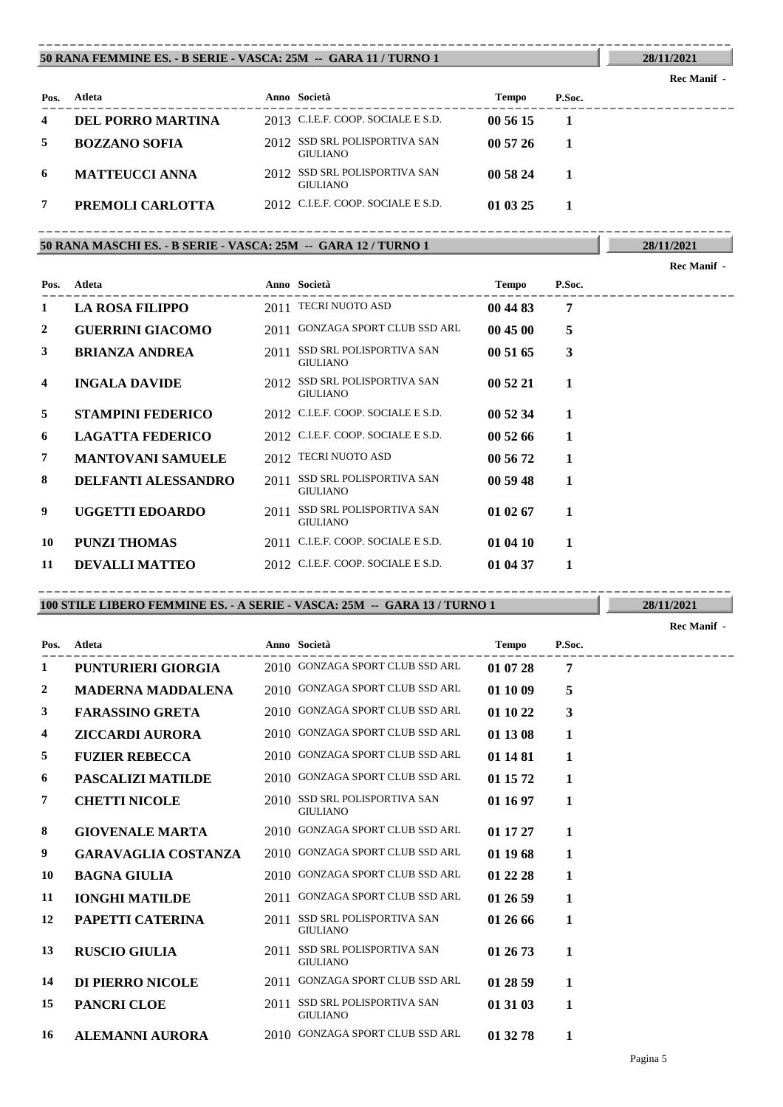#### **50 RANA FEMMINE ES. - B SERIE - VASCA: 25M -- GARA 11 / TURNO 1** ----------------------------------------------------------------------------------------

## **Rec Manif -**

**28/11/2021**

**28/11/2021**

| Pos. | Atleta                | Anno Società                                     | Tempo    | P.Soc. |
|------|-----------------------|--------------------------------------------------|----------|--------|
| 4    | DEL PORRO MARTINA     | 2013 C.I.E.F. COOP. SOCIALE E S.D.               | 00 56 15 |        |
|      | <b>BOZZANO SOFIA</b>  | 2012 SSD SRL POLISPORTIVA SAN<br><b>GIULIANO</b> | 005726   |        |
| 6    | <b>MATTEUCCI ANNA</b> | 2012 SSD SRL POLISPORTIVA SAN<br><b>GIULIANO</b> | 00 58 24 |        |
|      | PREMOLI CARLOTTA      | 2012 C.I.E.F. COOP. SOCIALE E S.D.               | 01 03 25 |        |

## **50 RANA MASCHI ES. - B SERIE - VASCA: 25M -- GARA 12 / TURNO 1** ----------------------------------------------------------------------------------------

|      |                            |      |                                                    |          |        | <b>Rec Manif</b> - |
|------|----------------------------|------|----------------------------------------------------|----------|--------|--------------------|
| Pos. | <b>Atleta</b>              |      | Anno Società                                       | Tempo    | P.Soc. |                    |
| 1    | <b>LA ROSA FILIPPO</b>     |      | 2011 TECRI NUOTO ASD                               | 00 44 83 | 7      |                    |
| 2    | <b>GUERRINI GIACOMO</b>    |      | 2011 GONZAGA SPORT CLUB SSD ARL                    | 00 45 00 | 5      |                    |
| 3    | <b>BRIANZA ANDREA</b>      | 2011 | <b>SSD SRL POLISPORTIVA SAN</b><br><b>GIULIANO</b> | 00 51 65 | 3      |                    |
| 4    | <b>INGALA DAVIDE</b>       |      | 2012 SSD SRL POLISPORTIVA SAN<br><b>GIULIANO</b>   | 00 52 21 | 1      |                    |
| 5    | <b>STAMPINI FEDERICO</b>   |      | 2012 C.I.E.F. COOP. SOCIALE E S.D.                 | 00 52 34 | 1      |                    |
| 6    | <b>LAGATTA FEDERICO</b>    |      | 2012 C.I.E.F. COOP. SOCIALE E S.D.                 | 005266   | 1      |                    |
| 7    | <b>MANTOVANI SAMUELE</b>   |      | 2012 TECRI NUOTO ASD                               | 00 56 72 | 1      |                    |
| 8    | <b>DELFANTI ALESSANDRO</b> | 2011 | <b>SSD SRL POLISPORTIVA SAN</b><br><b>GIULIANO</b> | 00 59 48 | 1      |                    |
| 9    | <b>UGGETTI EDOARDO</b>     | 2011 | <b>SSD SRL POLISPORTIVA SAN</b><br><b>GIULIANO</b> | 01 02 67 | 1      |                    |
| 10   | <b>PUNZI THOMAS</b>        |      | 2011 C.I.E.F. COOP. SOCIALE E S.D.                 | 01 04 10 | 1      |                    |
| 11   | <b>DEVALLI MATTEO</b>      |      | 2012 C.I.E.F. COOP. SOCIALE E S.D.                 | 01 04 37 | 1      |                    |

## **100 STILE LIBERO FEMMINE ES. - A SERIE - VASCA: 25M -- GARA 13 / TURNO 1** ----------------------------------------------------------------------------------------

**Rec Manif -** 

| Pos. | Atleta                     |      | Anno Società                                       | <b>Tempo</b> | P.Soc. |  |
|------|----------------------------|------|----------------------------------------------------|--------------|--------|--|
| 1    | PUNTURIERI GIORGIA         |      | 2010 GONZAGA SPORT CLUB SSD ARL                    | 01 07 28     | 7      |  |
| 2    | <b>MADERNA MADDALENA</b>   |      | 2010 GONZAGA SPORT CLUB SSD ARL                    | 01 10 09     | 5      |  |
| 3    | <b>FARASSINO GRETA</b>     |      | 2010 GONZAGA SPORT CLUB SSD ARL                    | 01 10 22     | 3      |  |
| 4    | <b>ZICCARDI AURORA</b>     |      | 2010 GONZAGA SPORT CLUB SSD ARL                    | 01 13 08     | 1      |  |
| 5    | <b>FUZIER REBECCA</b>      |      | 2010 GONZAGA SPORT CLUB SSD ARL                    | 01 14 81     | 1      |  |
| 6    | <b>PASCALIZI MATILDE</b>   |      | 2010 GONZAGA SPORT CLUB SSD ARL                    | 01 15 72     | 1      |  |
| 7    | <b>CHETTI NICOLE</b>       |      | 2010 SSD SRL POLISPORTIVA SAN<br><b>GIULIANO</b>   | 01 16 97     | 1      |  |
| 8    | <b>GIOVENALE MARTA</b>     |      | 2010 GONZAGA SPORT CLUB SSD ARL                    | 01 17 27     | 1      |  |
| 9    | <b>GARAVAGLIA COSTANZA</b> |      | 2010 GONZAGA SPORT CLUB SSD ARL                    | 01 19 68     | 1      |  |
| 10   | <b>BAGNA GIULIA</b>        |      | 2010 GONZAGA SPORT CLUB SSD ARL                    | 01 22 28     | 1      |  |
| 11   | <b>IONGHI MATILDE</b>      |      | 2011 GONZAGA SPORT CLUB SSD ARL                    | 01 26 59     | 1      |  |
| 12   | PAPETTI CATERINA           | 2011 | SSD SRL POLISPORTIVA SAN<br><b>GIULIANO</b>        | 01 26 66     | 1      |  |
| 13   | <b>RUSCIO GIULIA</b>       | 2011 | SSD SRL POLISPORTIVA SAN<br><b>GIULIANO</b>        | 01 26 73     | 1      |  |
| 14   | DI PIERRO NICOLE           | 2011 | GONZAGA SPORT CLUB SSD ARL                         | 01 28 59     | 1      |  |
| 15   | PANCRI CLOE                | 2011 | <b>SSD SRL POLISPORTIVA SAN</b><br><b>GIULIANO</b> | 01 31 03     | 1      |  |
| 16   | <b>ALEMANNI AURORA</b>     |      | 2010 GONZAGA SPORT CLUB SSD ARL                    | 01 32 78     | 1      |  |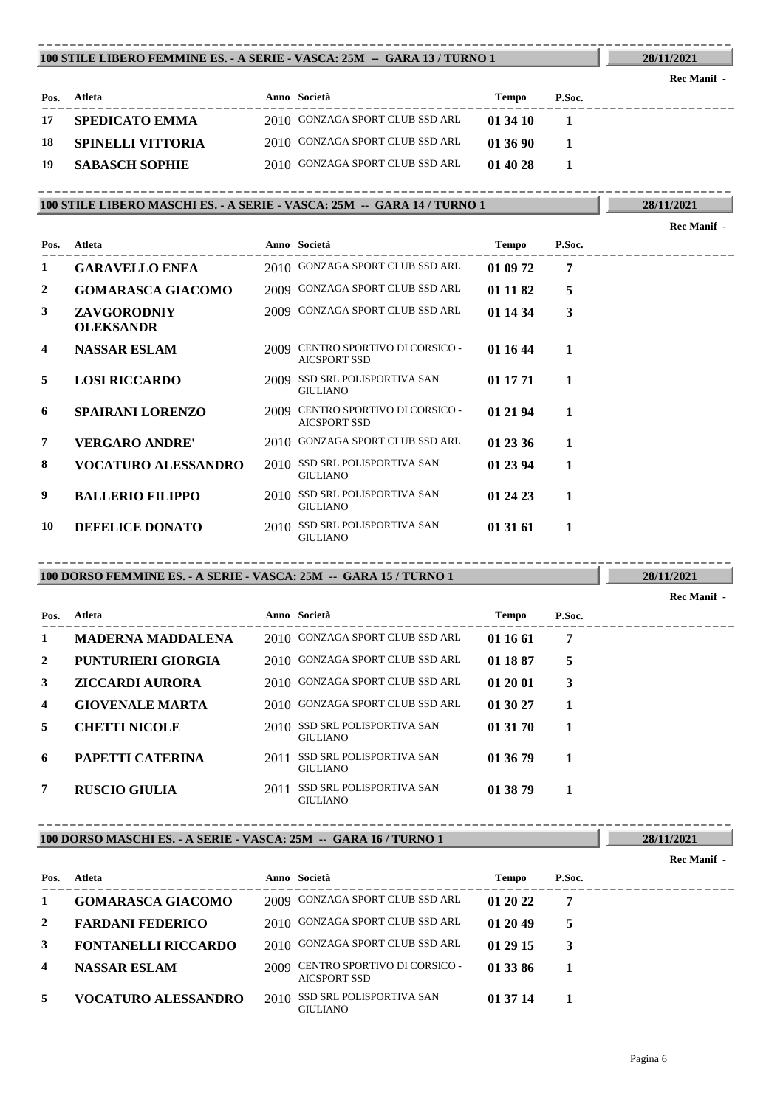#### **100 STILE LIBERO FEMMINE ES. - A SERIE - VASCA: 25M -- GARA 13 / TURNO 1** ----------------------------------------------------------------------------------------

| Pos. | Atleta                | Anno Società                    | Tempo    | P.Soc. |  |
|------|-----------------------|---------------------------------|----------|--------|--|
| 17   | <b>SPEDICATO EMMA</b> | 2010 GONZAGA SPORT CLUB SSD ARL | 01 34 10 |        |  |
| -18  | - SPINELLI VITTORIA   | 2010 GONZAGA SPORT CLUB SSD ARL | 01 36 90 |        |  |
| -19  | <b>SABASCH SOPHIE</b> | 2010 GONZAGA SPORT CLUB SSD ARL | 01 40 28 |        |  |

**100 STILE LIBERO MASCHI ES. - A SERIE - VASCA: 25M -- GARA 14 / TURNO 1** ----------------------------------------------------------------------------------------

| Pos. | Atleta                          |      | Anno Società                                        | Tempo    | P.Soc. |
|------|---------------------------------|------|-----------------------------------------------------|----------|--------|
| 1    | <b>GARAVELLO ENEA</b>           |      | 2010 GONZAGA SPORT CLUB SSD ARL                     | 01 09 72 | 7      |
| 2    | <b>GOMARASCA GIACOMO</b>        |      | 2009 GONZAGA SPORT CLUB SSD ARL                     | 01 11 82 | 5      |
| 3    | ZAVGORODNIY<br><b>OLEKSANDR</b> |      | 2009 GONZAGA SPORT CLUB SSD ARL                     | 01 14 34 | 3      |
| 4    | <b>NASSAR ESLAM</b>             | 2009 | CENTRO SPORTIVO DI CORSICO -<br><b>AICSPORT SSD</b> | 01 16 44 | 1      |
| 5    | <b>LOSI RICCARDO</b>            |      | 2009 SSD SRL POLISPORTIVA SAN<br><b>GIULIANO</b>    | 01 17 71 | 1      |
| 6    | <b>SPAIRANI LORENZO</b>         | 2009 | CENTRO SPORTIVO DI CORSICO -<br><b>AICSPORT SSD</b> | 01 21 94 | 1      |
| 7    | <b>VERGARO ANDRE'</b>           |      | 2010 GONZAGA SPORT CLUB SSD ARL                     | 01 23 36 | 1      |
| 8    | <b>VOCATURO ALESSANDRO</b>      |      | 2010 SSD SRL POLISPORTIVA SAN<br><b>GIULIANO</b>    | 01 23 94 | 1      |
| 9    | <b>BALLERIO FILIPPO</b>         |      | 2010 SSD SRL POLISPORTIVA SAN<br><b>GIULIANO</b>    | 01 24 23 | 1      |
| 10   | <b>DEFELICE DONATO</b>          |      | 2010 SSD SRL POLISPORTIVA SAN<br><b>GIULIANO</b>    | 01 31 61 | 1      |

### **100 DORSO FEMMINE ES. - A SERIE - VASCA: 25M -- GARA 15 / TURNO 1** ----------------------------------------------------------------------------------------

---------------------------------------------------------------------------------------- **Atleta Anno Società Tempo P.Soc. Pos. Rec Manif - 1 MADERNA MADDALENA** 2010 GONZAGA SPORT CLUB SSD ARL **01 16 61 7 2 PUNTURIERI GIORGIA** 2010 GONZAGA SPORT CLUB SSD ARL **01 18 87 5 3 ZICCARDI AURORA** 2010 GONZAGA SPORT CLUB SSD ARL **01 20 01 3 4 GIOVENALE MARTA** 2010 GONZAGA SPORT CLUB SSD ARL **01 30 27 1 5 CHETTI NICOLE** 2010 SSD SRL POLISPORTIVA SAN **01 31 70 1** GIULIANO SSD SRL POLISPORTIVA SAN **6 PAPETTI CATERINA** 2011 **01 36 79 1** GIULIANO SSD SRL POLISPORTIVA SAN **7 RUSCIO GIULIA** 2011 **01 38 79 1** GIULIANO

## **100 DORSO MASCHI ES. - A SERIE - VASCA: 25M -- GARA 16 / TURNO 1** ----------------------------------------------------------------------------------------

| Pos. | Atleta                     |      | Anno Società                                 | Tempo    | P.Soc. |  |
|------|----------------------------|------|----------------------------------------------|----------|--------|--|
|      | <b>GOMARASCA GIACOMO</b>   |      | 2009 GONZAGA SPORT CLUB SSD ARL              | 01 20 22 | 7      |  |
| 2    | <b>FARDANI FEDERICO</b>    |      | 2010 GONZAGA SPORT CLUB SSD ARL              | 01 20 49 | 5      |  |
| 3    | <b>FONTANELLI RICCARDO</b> |      | 2010 GONZAGA SPORT CLUB SSD ARL              | 01 29 15 |        |  |
| 4    | <b>NASSAR ESLAM</b>        | 2009 | CENTRO SPORTIVO DI CORSICO -<br>AICSPORT SSD | 01 33 86 |        |  |
| 5.   | <b>VOCATURO ALESSANDRO</b> | 2010 | SSD SRL POLISPORTIVA SAN<br><b>GIULIANO</b>  | 01 37 14 |        |  |

**28/11/2021**

**28/11/2021**

**28/11/2021**

**Rec Manif -** 

**Rec Manif -** 

**28/11/2021 Rec Manif -**